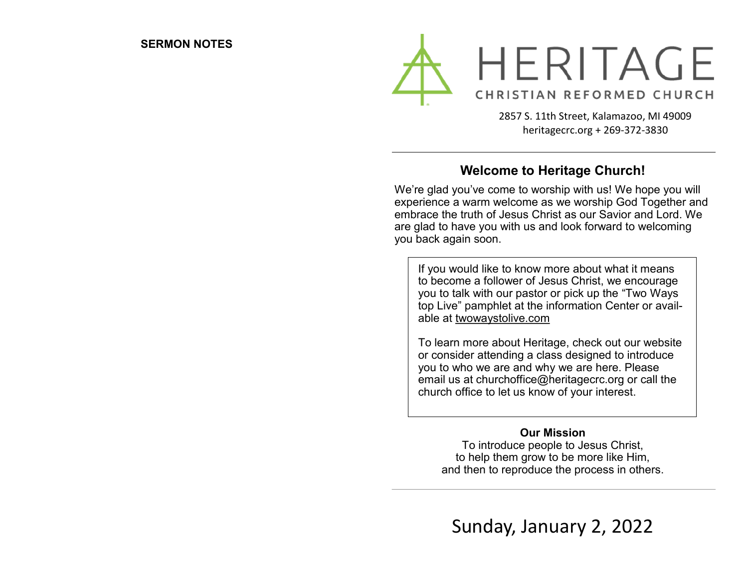

2857 S. 11th Street, Kalamazoo, MI 49009 heritagecrc.org + 269-372-3830

## **Welcome to Heritage Church!**

We're glad you've come to worship with us! We hope you will experience a warm welcome as we worship God Together and embrace the truth of Jesus Christ as our Savior and Lord. We are glad to have you with us and look forward to welcoming you back again soon.

If you would like to know more about what it means to become a follower of Jesus Christ, we encourage you to talk with our pastor or pick up the "Two Ways top Live" pamphlet at the information Center or available at twowaystolive.com

To learn more about Heritage, check out our website or consider attending a class designed to introduce you to who we are and why we are here. Please email us at churchoffice@heritagecrc.org or call the church office to let us know of your interest.

### **Our Mission**

To introduce people to Jesus Christ, to help them grow to be more like Him, and then to reproduce the process in others.

Sunday, January 2, 2022